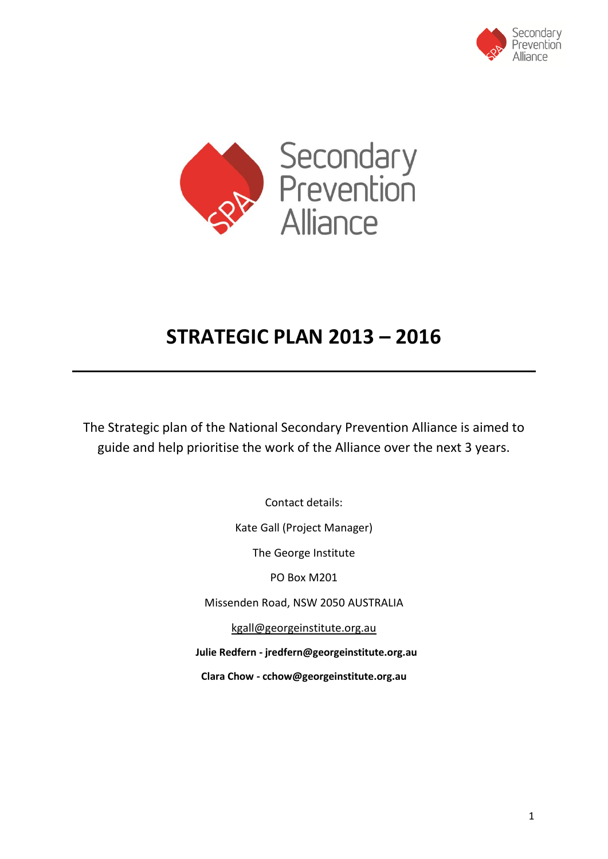



# **STRATEGIC PLAN 2013 – 2016**

The Strategic plan of the National Secondary Prevention Alliance is aimed to guide and help prioritise the work of the Alliance over the next 3 years.

> Contact details: Kate Gall (Project Manager) The George Institute PO Box M201 Missenden Road, NSW 2050 AUSTRALIA [kgall@georgeinstitute.org.au](mailto:kgall@georgeinstitute.org.au)  **Julie Redfern - [jredfern@georgeinstitute.org.au](mailto:jredfern@georgeinstitute.org.au) Clara Chow - cchow@georgeinstitute.org.au**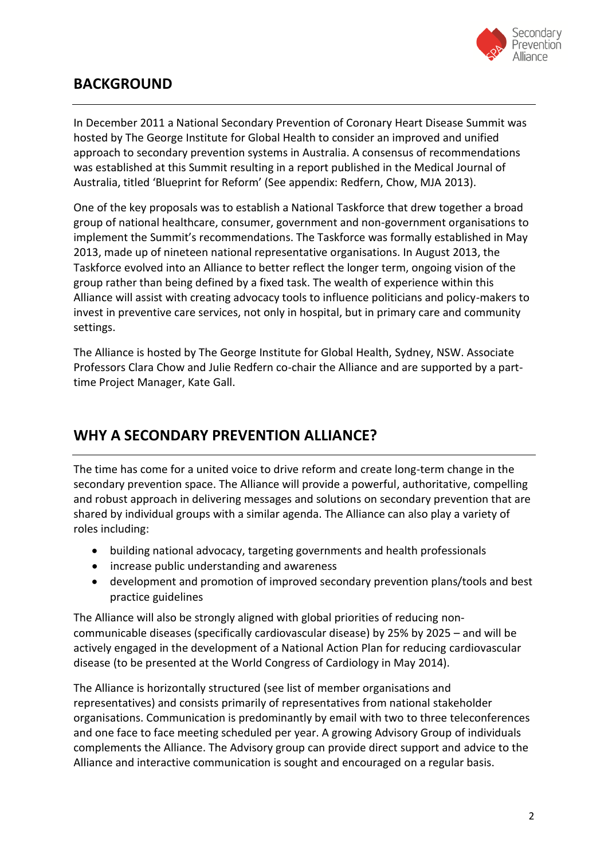

### **BACKGROUND**

In December 2011 a National Secondary Prevention of Coronary Heart Disease Summit was hosted by The George Institute for Global Health to consider an improved and unified approach to secondary prevention systems in Australia. A consensus of recommendations was established at this Summit resulting in a report published in the Medical Journal of Australia, titled 'Blueprint for Reform' (See appendix: Redfern, Chow, MJA 2013).

One of the key proposals was to establish a National Taskforce that drew together a broad group of national healthcare, consumer, government and non-government organisations to implement the Summit's recommendations. The Taskforce was formally established in May 2013, made up of nineteen national representative organisations. In August 2013, the Taskforce evolved into an Alliance to better reflect the longer term, ongoing vision of the group rather than being defined by a fixed task. The wealth of experience within this Alliance will assist with creating advocacy tools to influence politicians and policy-makers to invest in preventive care services, not only in hospital, but in primary care and community settings.

The Alliance is hosted by The George Institute for Global Health, Sydney, NSW. Associate Professors Clara Chow and Julie Redfern co-chair the Alliance and are supported by a parttime Project Manager, Kate Gall.

## **WHY A SECONDARY PREVENTION ALLIANCE?**

The time has come for a united voice to drive reform and create long-term change in the secondary prevention space. The Alliance will provide a powerful, authoritative, compelling and robust approach in delivering messages and solutions on secondary prevention that are shared by individual groups with a similar agenda. The Alliance can also play a variety of roles including:

- building national advocacy, targeting governments and health professionals
- increase public understanding and awareness
- development and promotion of improved secondary prevention plans/tools and best practice guidelines

The Alliance will also be strongly aligned with global priorities of reducing noncommunicable diseases (specifically cardiovascular disease) by 25% by 2025 – and will be actively engaged in the development of a National Action Plan for reducing cardiovascular disease (to be presented at the World Congress of Cardiology in May 2014).

The Alliance is horizontally structured (see list of member organisations and representatives) and consists primarily of representatives from national stakeholder organisations. Communication is predominantly by email with two to three teleconferences and one face to face meeting scheduled per year. A growing Advisory Group of individuals complements the Alliance. The Advisory group can provide direct support and advice to the Alliance and interactive communication is sought and encouraged on a regular basis.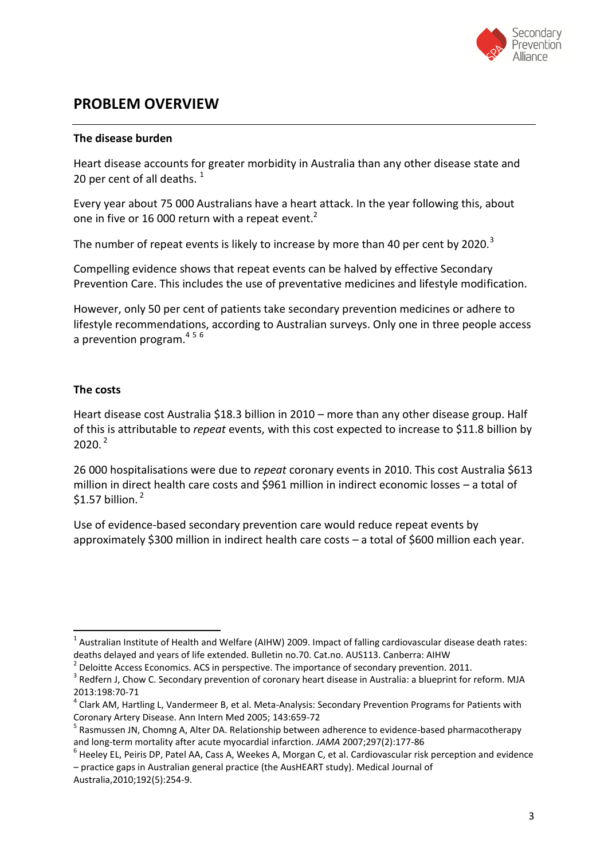

### **PROBLEM OVERVIEW**

#### **The disease burden**

Heart disease accounts for greater morbidity in Australia than any other disease state and 20 per cent of all deaths.  $1$ 

Every year about 75 000 Australians have a heart attack. In the year following this, about one in five or 16 000 return with a repeat event. $2$ 

The number of repeat events is likely to increase by more than 40 per cent by 2020. $3$ 

Compelling evidence shows that repeat events can be halved by effective Secondary Prevention Care. This includes the use of preventative medicines and lifestyle modification.

However, only 50 per cent of patients take secondary prevention medicines or adhere to lifestyle recommendations, according to Australian surveys. Only one in three people access a prevention program.<sup>456</sup>

#### **The costs**

Heart disease cost Australia \$18.3 billion in 2010 – more than any other disease group. Half of this is attributable to *repeat* events, with this cost expected to increase to \$11.8 billion by  $2020<sup>2</sup>$ 

26 000 hospitalisations were due to *repeat* coronary events in 2010. This cost Australia \$613 million in direct health care costs and \$961 million in indirect economic losses – a total of  $$1.57$  billion.<sup>2</sup>

Use of evidence-based secondary prevention care would reduce repeat events by approximately \$300 million in indirect health care costs – a total of \$600 million each year.

 $\overline{a}$ <sup>1</sup> Australian Institute of Health and Welfare (AIHW) 2009. Impact of falling cardiovascular disease death rates: deaths delayed and years of life extended. Bulletin no.70. Cat.no. AUS113. Canberra: AIHW

<sup>2</sup> Deloitte Access Economics. ACS in perspective. The importance of secondary prevention. 2011.

 $3$  Redfern J, Chow C. Secondary prevention of coronary heart disease in Australia: a blueprint for reform. MJA 2013:198:70-71

<sup>&</sup>lt;sup>4</sup> Clark AM, Hartling L, Vandermeer B, et al. Meta-Analysis: Secondary Prevention Programs for Patients with Coronary Artery Disease. Ann Intern Med 2005; 143:659-72

<sup>&</sup>lt;sup>5</sup> Rasmussen JN, Chomng A, Alter DA. Relationship between adherence to evidence-based pharmacotherapy and long-term mortality after acute myocardial infarction. *JAMA* 2007;297(2):177-86

<sup>6</sup> Heeley EL, Peiris DP, Patel AA, Cass A, Weekes A, Morgan C, et al. Cardiovascular risk perception and evidence – practice gaps in Australian general practice (the AusHEART study). Medical Journal of Australia,2010;192(5):254-9.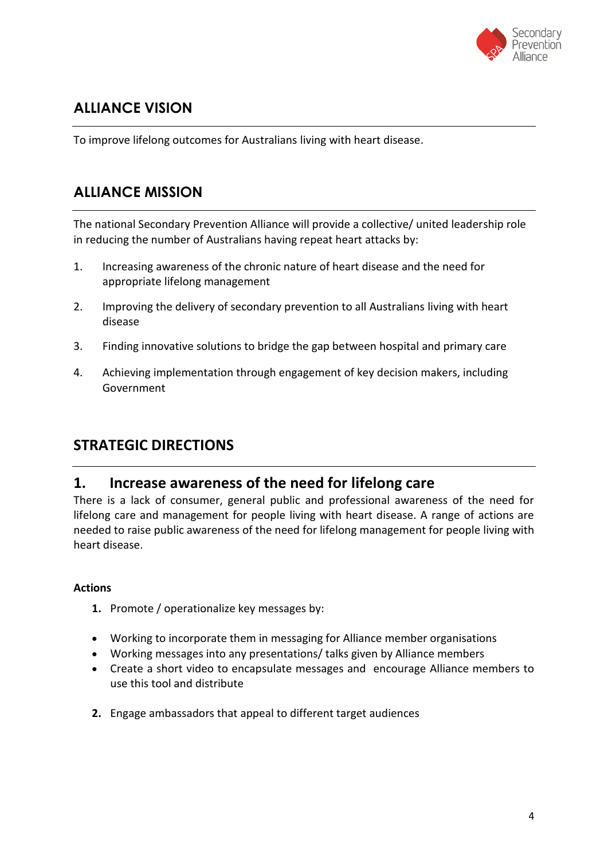

# **ALLIANCE VISION**

To improve lifelong outcomes for Australians living with heart disease.

# **ALLIANCE MISSION**

The national Secondary Prevention Alliance will provide a collective/ united leadership role in reducing the number of Australians having repeat heart attacks by:

- 1. Increasing awareness of the chronic nature of heart disease and the need for appropriate lifelong management
- 2. Improving the delivery of secondary prevention to all Australians living with heart disease
- 3. Finding innovative solutions to bridge the gap between hospital and primary care
- 4. Achieving implementation through engagement of key decision makers, including Government

### **STRATEGIC DIRECTIONS**

### **1. Increase awareness of the need for lifelong care**

There is a lack of consumer, general public and professional awareness of the need for lifelong care and management for people living with heart disease. A range of actions are needed to raise public awareness of the need for lifelong management for people living with heart disease.

#### **Actions**

- **1.** Promote / operationalize key messages by:
- Working to incorporate them in messaging for Alliance member organisations
- Working messages into any presentations/ talks given by Alliance members
- Create a short video to encapsulate messages and encourage Alliance members to use this tool and distribute
- **2.** Engage ambassadors that appeal to different target audiences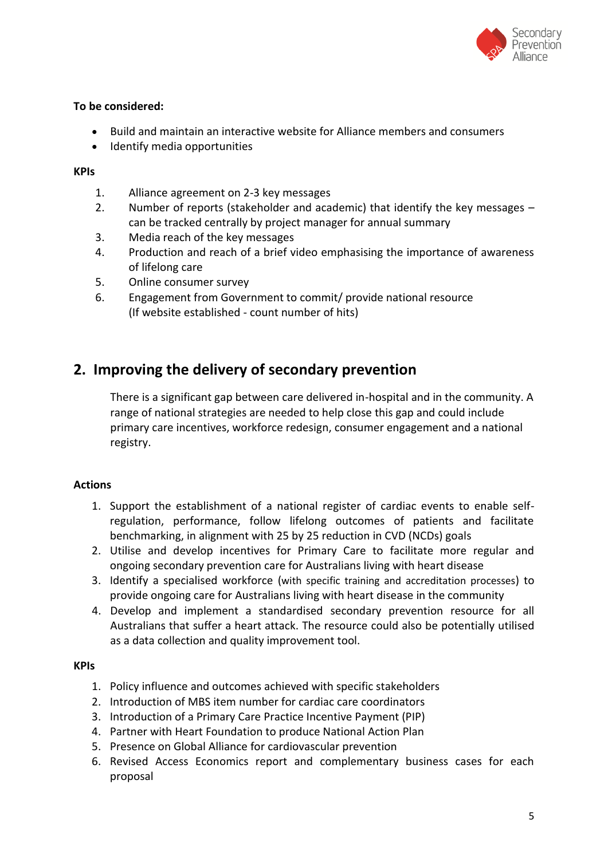

#### **To be considered:**

- Build and maintain an interactive website for Alliance members and consumers
- Identify media opportunities

#### **KPIs**

- 1. Alliance agreement on 2-3 key messages
- 2. Number of reports (stakeholder and academic) that identify the key messages can be tracked centrally by project manager for annual summary
- 3. Media reach of the key messages
- 4. Production and reach of a brief video emphasising the importance of awareness of lifelong care
- 5. Online consumer survey
- 6. Engagement from Government to commit/ provide national resource (If website established - count number of hits)

### **2. Improving the delivery of secondary prevention**

There is a significant gap between care delivered in-hospital and in the community. A range of national strategies are needed to help close this gap and could include primary care incentives, workforce redesign, consumer engagement and a national registry.

#### **Actions**

- 1. Support the establishment of a national register of cardiac events to enable selfregulation, performance, follow lifelong outcomes of patients and facilitate benchmarking, in alignment with 25 by 25 reduction in CVD (NCDs) goals
- 2. Utilise and develop incentives for Primary Care to facilitate more regular and ongoing secondary prevention care for Australians living with heart disease
- 3. Identify a specialised workforce (with specific training and accreditation processes) to provide ongoing care for Australians living with heart disease in the community
- 4. Develop and implement a standardised secondary prevention resource for all Australians that suffer a heart attack. The resource could also be potentially utilised as a data collection and quality improvement tool.

#### **KPIs**

- 1. Policy influence and outcomes achieved with specific stakeholders
- 2. Introduction of MBS item number for cardiac care coordinators
- 3. Introduction of a Primary Care Practice Incentive Payment (PIP)
- 4. Partner with Heart Foundation to produce National Action Plan
- 5. Presence on Global Alliance for cardiovascular prevention
- 6. Revised Access Economics report and complementary business cases for each proposal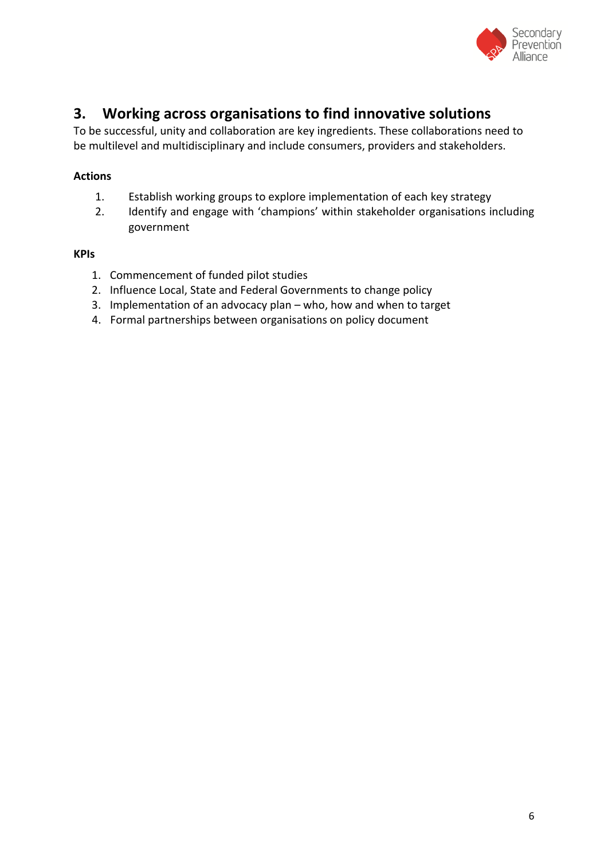

## **3. Working across organisations to find innovative solutions**

To be successful, unity and collaboration are key ingredients. These collaborations need to be multilevel and multidisciplinary and include consumers, providers and stakeholders.

#### **Actions**

- 1. Establish working groups to explore implementation of each key strategy
- 2. Identify and engage with 'champions' within stakeholder organisations including government

#### **KPIs**

- 1. Commencement of funded pilot studies
- 2. Influence Local, State and Federal Governments to change policy
- 3. Implementation of an advocacy plan who, how and when to target
- 4. Formal partnerships between organisations on policy document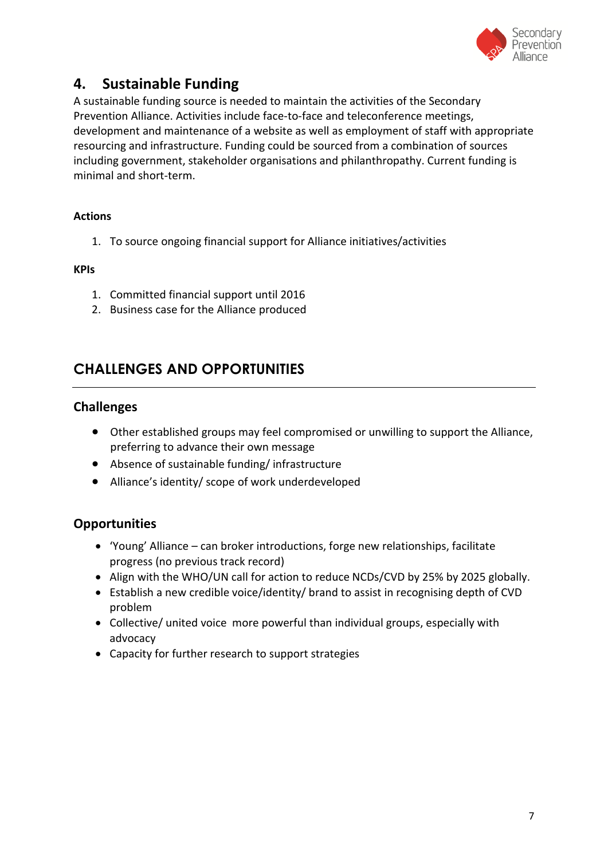

### **4. Sustainable Funding**

A sustainable funding source is needed to maintain the activities of the Secondary Prevention Alliance. Activities include face-to-face and teleconference meetings, development and maintenance of a website as well as employment of staff with appropriate resourcing and infrastructure. Funding could be sourced from a combination of sources including government, stakeholder organisations and philanthropathy. Current funding is minimal and short-term.

#### **Actions**

1. To source ongoing financial support for Alliance initiatives/activities

#### **KPIs**

- 1. Committed financial support until 2016
- 2. Business case for the Alliance produced

### **CHALLENGES AND OPPORTUNITIES**

#### **Challenges**

- Other established groups may feel compromised or unwilling to support the Alliance, preferring to advance their own message
- Absence of sustainable funding/ infrastructure
- Alliance's identity/ scope of work underdeveloped

### **Opportunities**

- 'Young' Alliance can broker introductions, forge new relationships, facilitate progress (no previous track record)
- Align with the WHO/UN call for action to reduce NCDs/CVD by 25% by 2025 globally.
- Establish a new credible voice/identity/ brand to assist in recognising depth of CVD problem
- Collective/ united voice more powerful than individual groups, especially with advocacy
- Capacity for further research to support strategies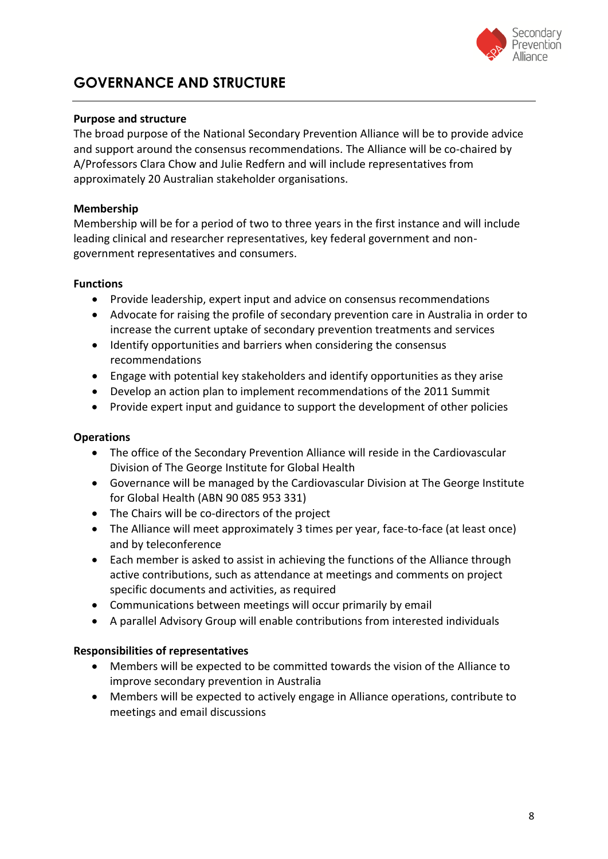

# **GOVERNANCE AND STRUCTURE**

#### **Purpose and structure**

The broad purpose of the National Secondary Prevention Alliance will be to provide advice and support around the consensus recommendations. The Alliance will be co-chaired by A/Professors Clara Chow and Julie Redfern and will include representatives from approximately 20 Australian stakeholder organisations.

#### **Membership**

Membership will be for a period of two to three years in the first instance and will include leading clinical and researcher representatives, key federal government and nongovernment representatives and consumers.

#### **Functions**

- Provide leadership, expert input and advice on consensus recommendations
- Advocate for raising the profile of secondary prevention care in Australia in order to increase the current uptake of secondary prevention treatments and services
- Identify opportunities and barriers when considering the consensus recommendations
- Engage with potential key stakeholders and identify opportunities as they arise
- Develop an action plan to implement recommendations of the 2011 Summit
- Provide expert input and guidance to support the development of other policies

#### **Operations**

- The office of the Secondary Prevention Alliance will reside in the Cardiovascular Division of The George Institute for Global Health
- Governance will be managed by the Cardiovascular Division at The George Institute for Global Health (ABN 90 085 953 331)
- The Chairs will be co-directors of the project
- The Alliance will meet approximately 3 times per year, face-to-face (at least once) and by teleconference
- Each member is asked to assist in achieving the functions of the Alliance through active contributions, such as attendance at meetings and comments on project specific documents and activities, as required
- Communications between meetings will occur primarily by email
- A parallel Advisory Group will enable contributions from interested individuals

#### **Responsibilities of representatives**

- Members will be expected to be committed towards the vision of the Alliance to improve secondary prevention in Australia
- Members will be expected to actively engage in Alliance operations, contribute to meetings and email discussions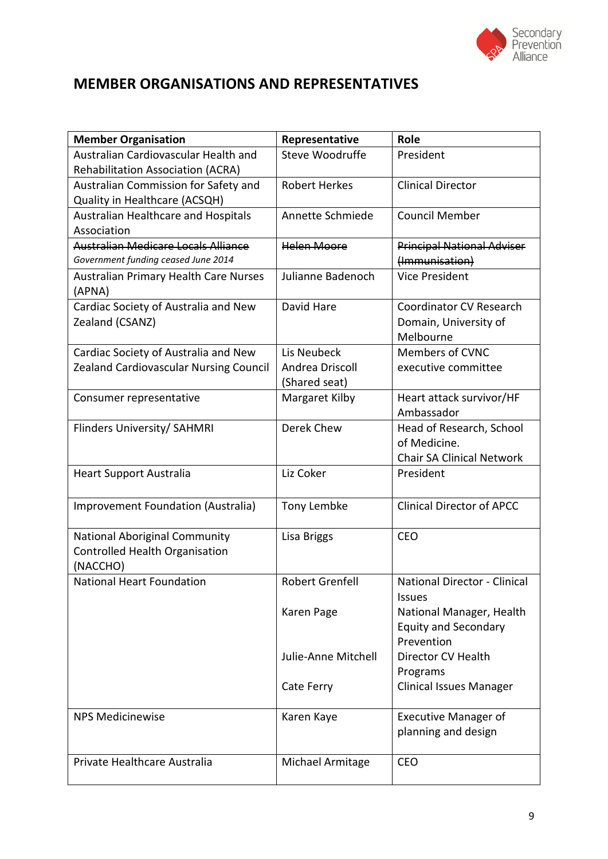

# **MEMBER ORGANISATIONS AND REPRESENTATIVES**

| <b>Member Organisation</b>                                                         | Representative                                  | Role                                                                         |
|------------------------------------------------------------------------------------|-------------------------------------------------|------------------------------------------------------------------------------|
| Australian Cardiovascular Health and<br>Rehabilitation Association (ACRA)          | Steve Woodruffe                                 | President                                                                    |
| Australian Commission for Safety and<br>Quality in Healthcare (ACSQH)              | <b>Robert Herkes</b>                            | <b>Clinical Director</b>                                                     |
| Australian Healthcare and Hospitals<br>Association                                 | Annette Schmiede                                | <b>Council Member</b>                                                        |
| Australian Medicare Locals Alliance<br>Government funding ceased June 2014         | <b>Helen Moore</b>                              | <b>Principal National Adviser</b><br>(Immunisation)                          |
| <b>Australian Primary Health Care Nurses</b><br>(APNA)                             | Julianne Badenoch                               | <b>Vice President</b>                                                        |
| Cardiac Society of Australia and New<br>Zealand (CSANZ)                            | David Hare                                      | Coordinator CV Research<br>Domain, University of<br>Melbourne                |
| Cardiac Society of Australia and New<br>Zealand Cardiovascular Nursing Council     | Lis Neubeck<br>Andrea Driscoll<br>(Shared seat) | <b>Members of CVNC</b><br>executive committee                                |
| Consumer representative                                                            | Margaret Kilby                                  | Heart attack survivor/HF<br>Ambassador                                       |
| Flinders University/ SAHMRI                                                        | Derek Chew                                      | Head of Research, School<br>of Medicine.<br><b>Chair SA Clinical Network</b> |
| <b>Heart Support Australia</b>                                                     | Liz Coker                                       | President                                                                    |
| Improvement Foundation (Australia)                                                 | Tony Lembke                                     | <b>Clinical Director of APCC</b>                                             |
| <b>National Aboriginal Community</b><br>Controlled Health Organisation<br>(NACCHO) | Lisa Briggs                                     | <b>CEO</b>                                                                   |
| National Heart Foundation                                                          | Robert Grenfell                                 | National Director - Clinical<br><b>Issues</b>                                |
|                                                                                    | Karen Page                                      | National Manager, Health<br><b>Equity and Secondary</b><br>Prevention        |
|                                                                                    | Julie-Anne Mitchell                             | Director CV Health<br>Programs                                               |
|                                                                                    | Cate Ferry                                      | <b>Clinical Issues Manager</b>                                               |
| <b>NPS Medicinewise</b>                                                            | Karen Kaye                                      | <b>Executive Manager of</b><br>planning and design                           |
| Private Healthcare Australia                                                       | Michael Armitage                                | <b>CEO</b>                                                                   |